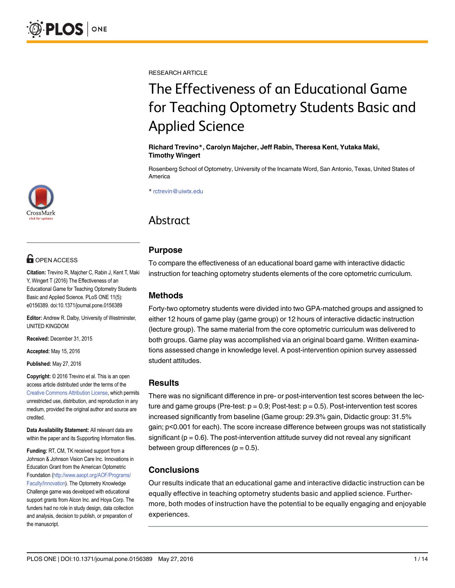[a11111](http://crossmark.crossref.org/dialog/?doi=10.1371/journal.pone.0156389&domain=pdf)

## **OPEN ACCESS**

Citation: Trevino R, Majcher C, Rabin J, Kent T, Maki Y, Wingert T (2016) The Effectiveness of an Educational Game for Teaching Optometry Students Basic and Applied Science. PLoS ONE 11(5): e0156389. doi:10.1371/journal.pone.0156389

Editor: Andrew R. Dalby, University of Westminster, UNITED KINGDOM

Received: December 31, 2015

Accepted: May 15, 2016

Published: May 27, 2016

Copyright: © 2016 Trevino et al. This is an open access article distributed under the terms of the [Creative Commons Attribution License,](http://creativecommons.org/licenses/by/4.0/) which permits unrestricted use, distribution, and reproduction in any medium, provided the original author and source are credited.

Data Availability Statement: All relevant data are within the paper and its Supporting Information files.

Funding: RT, CM, TK received support from a Johnson & Johnson Vision Care Inc. Innovations in Education Grant from the American Optometric Foundation ([http://www.aaopt.org/AOF/Programs/](http://www.aaopt.org/AOF/Programs/Faculty/Innovation) [Faculty/Innovation\)](http://www.aaopt.org/AOF/Programs/Faculty/Innovation). The Optometry Knowledge Challenge game was developed with educational support grants from Alcon Inc. and Hoya Corp. The funders had no role in study design, data collection and analysis, decision to publish, or preparation of the manuscript.

RESEARCH ARTICLE

# The Effectiveness of an Educational Game for Teaching Optometry Students Basic and Applied Science

#### Richard Trevino\*, Carolyn Majcher, Jeff Rabin, Theresa Kent, Yutaka Maki, Timothy Wingert

Rosenberg School of Optometry, University of the Incarnate Word, San Antonio, Texas, United States of America

\* rctrevin@uiwtx.edu

### Abstract

#### Purpose

To compare the effectiveness of an educational board game with interactive didactic instruction for teaching optometry students elements of the core optometric curriculum.

#### Methods

Forty-two optometry students were divided into two GPA-matched groups and assigned to either 12 hours of game play (game group) or 12 hours of interactive didactic instruction (lecture group). The same material from the core optometric curriculum was delivered to both groups. Game play was accomplished via an original board game. Written examinations assessed change in knowledge level. A post-intervention opinion survey assessed student attitudes.

#### **Results**

There was no significant difference in pre- or post-intervention test scores between the lecture and game groups (Pre-test:  $p = 0.9$ ; Post-test:  $p = 0.5$ ). Post-intervention test scores increased significantly from baseline (Game group: 29.3% gain, Didactic group: 31.5% gain; p<0.001 for each). The score increase difference between groups was not statistically significant ( $p = 0.6$ ). The post-intervention attitude survey did not reveal any significant between group differences  $(p = 0.5)$ .

#### **Conclusions**

Our results indicate that an educational game and interactive didactic instruction can be equally effective in teaching optometry students basic and applied science. Furthermore, both modes of instruction have the potential to be equally engaging and enjoyable experiences.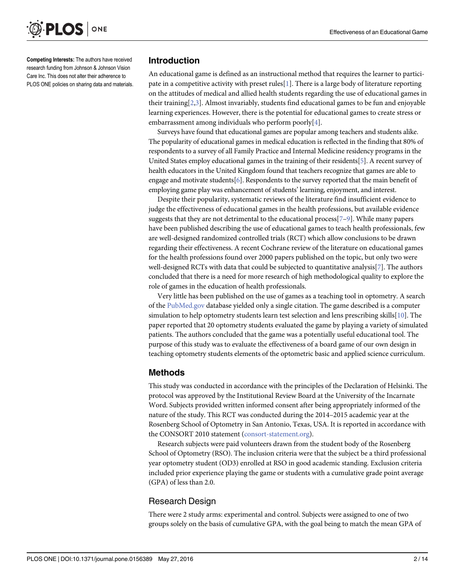<span id="page-1-0"></span>

Competing Interests: The authors have received research funding from Johnson & Johnson Vision Care Inc. This does not alter their adherence to PLOS ONE policies on sharing data and materials.

#### Introduction

An educational game is defined as an instructional method that requires the learner to participate in a competitive activity with preset rules  $[1]$  $[1]$ . There is a large body of literature reporting on the attitudes of medical and allied health students regarding the use of educational games in their training[\[2,3\]](#page-13-0). Almost invariably, students find educational games to be fun and enjoyable learning experiences. However, there is the potential for educational games to create stress or embarrassment among individuals who perform poorly[\[4\]](#page-13-0).

Surveys have found that educational games are popular among teachers and students alike. The popularity of educational games in medical education is reflected in the finding that 80% of respondents to a survey of all Family Practice and Internal Medicine residency programs in the United States employ educational games in the training of their residents[[5\]](#page-13-0). A recent survey of health educators in the United Kingdom found that teachers recognize that games are able to engage and motivate students[\[6\]](#page-13-0). Respondents to the survey reported that the main benefit of employing game play was enhancement of students' learning, enjoyment, and interest.

Despite their popularity, systematic reviews of the literature find insufficient evidence to judge the effectiveness of educational games in the health professions, but available evidence suggests that they are not detrimental to the educational process $[7-9]$  $[7-9]$  $[7-9]$  $[7-9]$  $[7-9]$ . While many papers have been published describing the use of educational games to teach health professionals, few are well-designed randomized controlled trials (RCT) which allow conclusions to be drawn regarding their effectiveness. A recent Cochrane review of the literature on educational games for the health professions found over 2000 papers published on the topic, but only two were well-designed RCTs with data that could be subjected to quantitative analysis[\[7\]](#page-13-0). The authors concluded that there is a need for more research of high methodological quality to explore the role of games in the education of health professionals.

Very little has been published on the use of games as a teaching tool in optometry. A search of the [PubMed.gov](http://PubMed.gov) database yielded only a single citation. The game described is a computer simulation to help optometry students learn test selection and lens prescribing skills[[10](#page-13-0)]. The paper reported that 20 optometry students evaluated the game by playing a variety of simulated patients. The authors concluded that the game was a potentially useful educational tool. The purpose of this study was to evaluate the effectiveness of a board game of our own design in teaching optometry students elements of the optometric basic and applied science curriculum.

#### Methods

This study was conducted in accordance with the principles of the Declaration of Helsinki. The protocol was approved by the Institutional Review Board at the University of the Incarnate Word. Subjects provided written informed consent after being appropriately informed of the nature of the study. This RCT was conducted during the 2014–2015 academic year at the Rosenberg School of Optometry in San Antonio, Texas, USA. It is reported in accordance with the CONSORT 2010 statement ([consort-statement.org\)](http://consort-statement.org).

Research subjects were paid volunteers drawn from the student body of the Rosenberg School of Optometry (RSO). The inclusion criteria were that the subject be a third professional year optometry student (OD3) enrolled at RSO in good academic standing. Exclusion criteria included prior experience playing the game or students with a cumulative grade point average (GPA) of less than 2.0.

#### Research Design

There were 2 study arms: experimental and control. Subjects were assigned to one of two groups solely on the basis of cumulative GPA, with the goal being to match the mean GPA of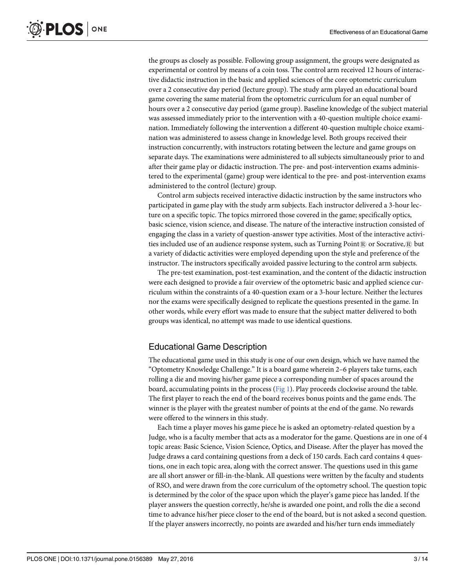<span id="page-2-0"></span>the groups as closely as possible. Following group assignment, the groups were designated as experimental or control by means of a coin toss. The control arm received 12 hours of interactive didactic instruction in the basic and applied sciences of the core optometric curriculum over a 2 consecutive day period (lecture group). The study arm played an educational board game covering the same material from the optometric curriculum for an equal number of hours over a 2 consecutive day period (game group). Baseline knowledge of the subject material was assessed immediately prior to the intervention with a 40-question multiple choice examination. Immediately following the intervention a different 40-question multiple choice examination was administered to assess change in knowledge level. Both groups received their instruction concurrently, with instructors rotating between the lecture and game groups on separate days. The examinations were administered to all subjects simultaneously prior to and after their game play or didactic instruction. The pre- and post-intervention exams administered to the experimental (game) group were identical to the pre- and post-intervention exams administered to the control (lecture) group.

Control arm subjects received interactive didactic instruction by the same instructors who participated in game play with the study arm subjects. Each instructor delivered a 3-hour lecture on a specific topic. The topics mirrored those covered in the game; specifically optics, basic science, vision science, and disease. The nature of the interactive instruction consisted of engaging the class in a variety of question-answer type activities. Most of the interactive activities included use of an audience response system, such as Turning Point $(0, \infty)$  or Socrative, $(0, \infty)$  but a variety of didactic activities were employed depending upon the style and preference of the instructor. The instructors specifically avoided passive lecturing to the control arm subjects.

The pre-test examination, post-test examination, and the content of the didactic instruction were each designed to provide a fair overview of the optometric basic and applied science curriculum within the constraints of a 40-question exam or a 3-hour lecture. Neither the lectures nor the exams were specifically designed to replicate the questions presented in the game. In other words, while every effort was made to ensure that the subject matter delivered to both groups was identical, no attempt was made to use identical questions.

#### Educational Game Description

The educational game used in this study is one of our own design, which we have named the "Optometry Knowledge Challenge." It is a board game wherein 2–6 players take turns, each rolling a die and moving his/her game piece a corresponding number of spaces around the board, accumulating points in the process  $(Fig 1)$  $(Fig 1)$  $(Fig 1)$ . Play proceeds clockwise around the table. The first player to reach the end of the board receives bonus points and the game ends. The winner is the player with the greatest number of points at the end of the game. No rewards were offered to the winners in this study.

Each time a player moves his game piece he is asked an optometry-related question by a Judge, who is a faculty member that acts as a moderator for the game. Questions are in one of 4 topic areas: Basic Science, Vision Science, Optics, and Disease. After the player has moved the Judge draws a card containing questions from a deck of 150 cards. Each card contains 4 questions, one in each topic area, along with the correct answer. The questions used in this game are all short answer or fill-in-the-blank. All questions were written by the faculty and students of RSO, and were drawn from the core curriculum of the optometry school. The question topic is determined by the color of the space upon which the player's game piece has landed. If the player answers the question correctly, he/she is awarded one point, and rolls the die a second time to advance his/her piece closer to the end of the board, but is not asked a second question. If the player answers incorrectly, no points are awarded and his/her turn ends immediately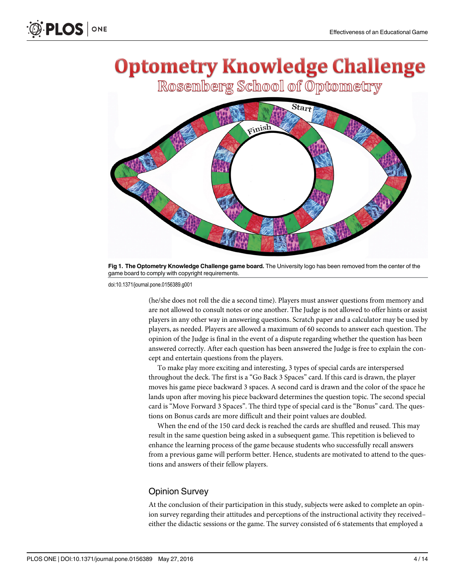# <span id="page-3-0"></span>**Optometry Knowledge Challenge**

Rosenberg School of Optometry



[Fig 1.](#page-2-0) The Optometry Knowledge Challenge game board. The University logo has been removed from the center of the game board to comply with copyright requirements.

doi:10.1371/journal.pone.0156389.g001

(he/she does not roll the die a second time). Players must answer questions from memory and are not allowed to consult notes or one another. The Judge is not allowed to offer hints or assist players in any other way in answering questions. Scratch paper and a calculator may be used by players, as needed. Players are allowed a maximum of 60 seconds to answer each question. The opinion of the Judge is final in the event of a dispute regarding whether the question has been answered correctly. After each question has been answered the Judge is free to explain the concept and entertain questions from the players.

To make play more exciting and interesting, 3 types of special cards are interspersed throughout the deck. The first is a "Go Back 3 Spaces" card. If this card is drawn, the player moves his game piece backward 3 spaces. A second card is drawn and the color of the space he lands upon after moving his piece backward determines the question topic. The second special card is "Move Forward 3 Spaces". The third type of special card is the "Bonus" card. The questions on Bonus cards are more difficult and their point values are doubled.

When the end of the 150 card deck is reached the cards are shuffled and reused. This may result in the same question being asked in a subsequent game. This repetition is believed to enhance the learning process of the game because students who successfully recall answers from a previous game will perform better. Hence, students are motivated to attend to the questions and answers of their fellow players.

#### Opinion Survey

At the conclusion of their participation in this study, subjects were asked to complete an opinion survey regarding their attitudes and perceptions of the instructional activity they received– either the didactic sessions or the game. The survey consisted of 6 statements that employed a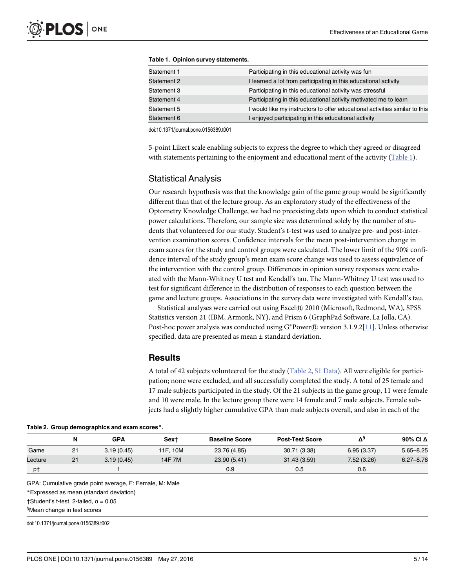| Statement 1 | Participating in this educational activity was fun                          |
|-------------|-----------------------------------------------------------------------------|
| Statement 2 | I learned a lot from participating in this educational activity             |
| Statement 3 | Participating in this educational activity was stressful                    |
| Statement 4 | Participating in this educational activity motivated me to learn            |
| Statement 5 | I would like my instructors to offer educational activities similar to this |
| Statement 6 | enjoyed participating in this educational activity                          |

<span id="page-4-0"></span>Table 1. Opinion survey statements.

doi:10.1371/journal.pone.0156389.t001

5-point Likert scale enabling subjects to express the degree to which they agreed or disagreed with statements pertaining to the enjoyment and educational merit of the activity  $(Table 1)$ .

#### Statistical Analysis

Our research hypothesis was that the knowledge gain of the game group would be significantly different than that of the lecture group. As an exploratory study of the effectiveness of the Optometry Knowledge Challenge, we had no preexisting data upon which to conduct statistical power calculations. Therefore, our sample size was determined solely by the number of students that volunteered for our study. Student's t-test was used to analyze pre- and post-intervention examination scores. Confidence intervals for the mean post-intervention change in exam scores for the study and control groups were calculated. The lower limit of the 90% confidence interval of the study group's mean exam score change was used to assess equivalence of the intervention with the control group. Differences in opinion survey responses were evaluated with the Mann-Whitney U test and Kendall's tau. The Mann-Whitney U test was used to test for significant difference in the distribution of responses to each question between the game and lecture groups. Associations in the survey data were investigated with Kendall's tau.

Statistical analyses were carried out using Excel $R$  2010 (Microsoft, Redmond, WA), SPSS Statistics version 21 (IBM, Armonk, NY), and Prism 6 (GraphPad Software, La Jolla, CA). Post-hoc power analysis was conducted using  $G^*$  Power  $\mathbb B$  version 3.1.9.2[\[11\]](#page-13-0). Unless otherwise specified, data are presented as mean ± standard deviation.

#### **Results**

A total of 42 subjects volunteered for the study (Table 2, [S1 Data](#page-12-0)). All were eligible for participation; none were excluded, and all successfully completed the study. A total of 25 female and 17 male subjects participated in the study. Of the 21 subjects in the game group, 11 were female and 10 were male. In the lecture group there were 14 female and 7 male subjects. Female subjects had a slightly higher cumulative GPA than male subjects overall, and also in each of the

|         |    | <b>GPA</b> | <b>Sext</b> | <b>Baseline Score</b> | <b>Post-Test Score</b> | Δ\$        | 90% CI Δ      |
|---------|----|------------|-------------|-----------------------|------------------------|------------|---------------|
| Game    | 21 | 3.19(0.45) | 11F. 10M    | 23.76 (4.85)          | 30.71 (3.38)           | 6.95(3.37) | $5.65 - 8.25$ |
| Lecture | 21 | 3.19(0.45) | 14F 7M      | 23.90 (5.41)          | 31.43(3.59)            | 7.52(3.26) | $6.27 - 8.78$ |
| р†      |    |            |             | 0.9                   | 0.5                    | 0.6        |               |

|  | Table 2. Group demographics and exam scores*. |
|--|-----------------------------------------------|
|--|-----------------------------------------------|

GPA: Cumulative grade point average, F: Female, M: Male

\*Expressed as mean (standard deviation)

†Student's t-test, 2-tailed, α = 0.05

§ Mean change in test scores

doi:10.1371/journal.pone.0156389.t002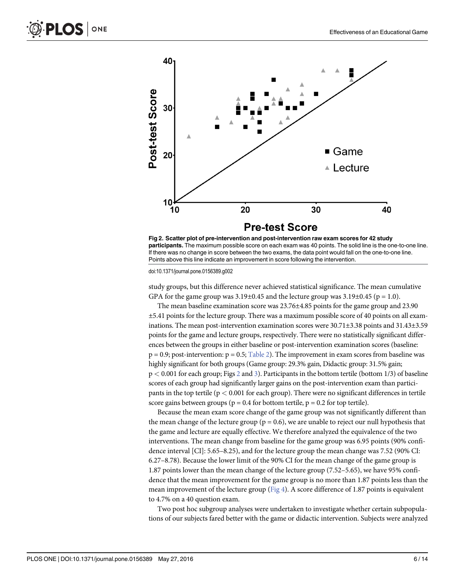<span id="page-5-0"></span>

Fig 2. Scatter plot of pre-intervention and post-intervention raw exam scores for 42 study participants. The maximum possible score on each exam was 40 points. The solid line is the one-to-one line. If there was no change in score between the two exams, the data point would fall on the one-to-one line. Points above this line indicate an improvement in score following the intervention.

doi:10.1371/journal.pone.0156389.g002

study groups, but this difference never achieved statistical significance. The mean cumulative GPA for the game group was  $3.19\pm0.45$  and the lecture group was  $3.19\pm0.45$  (p = 1.0).

The mean baseline examination score was 23.76±4.85 points for the game group and 23.90 ±5.41 points for the lecture group. There was a maximum possible score of 40 points on all examinations. The mean post-intervention examination scores were 30.71±3.38 points and 31.43±3.59 points for the game and lecture groups, respectively. There were no statistically significant differences between the groups in either baseline or post-intervention examination scores (baseline:  $p = 0.9$ ; post-intervention:  $p = 0.5$ ; [Table 2\)](#page-4-0). The improvement in exam scores from baseline was highly significant for both groups (Game group: 29.3% gain, Didactic group: 31.5% gain;  $p < 0.001$  for each group; Figs 2 and [3\)](#page-6-0). Participants in the bottom tertile (bottom 1/3) of baseline scores of each group had significantly larger gains on the post-intervention exam than participants in the top tertile ( $p < 0.001$  for each group). There were no significant differences in tertile score gains between groups ( $p = 0.4$  for bottom tertile,  $p = 0.2$  for top tertile).

Because the mean exam score change of the game group was not significantly different than the mean change of the lecture group ( $p = 0.6$ ), we are unable to reject our null hypothesis that the game and lecture are equally effective. We therefore analyzed the equivalence of the two interventions. The mean change from baseline for the game group was 6.95 points (90% confidence interval [CI]: 5.65–8.25), and for the lecture group the mean change was 7.52 (90% CI: 6.27–8.78). Because the lower limit of the 90% CI for the mean change of the game group is 1.87 points lower than the mean change of the lecture group (7.52–5.65), we have 95% confidence that the mean improvement for the game group is no more than 1.87 points less than the mean improvement of the lecture group ( $Fig 4$ ). A score difference of 1.87 points is equivalent to 4.7% on a 40 question exam.

Two post hoc subgroup analyses were undertaken to investigate whether certain subpopulations of our subjects fared better with the game or didactic intervention. Subjects were analyzed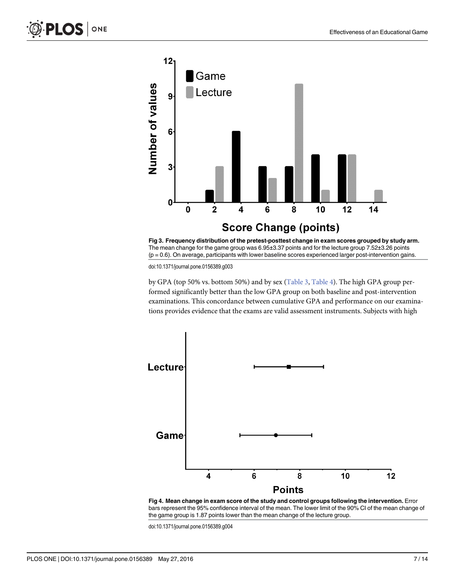<span id="page-6-0"></span>



doi:10.1371/journal.pone.0156389.g003

by GPA (top 50% vs. bottom 50%) and by sex ([Table 3,](#page-7-0) [Table 4](#page-7-0)). The high GPA group performed significantly better than the low GPA group on both baseline and post-intervention examinations. This concordance between cumulative GPA and performance on our examinations provides evidence that the exams are valid assessment instruments. Subjects with high





doi:10.1371/journal.pone.0156389.g004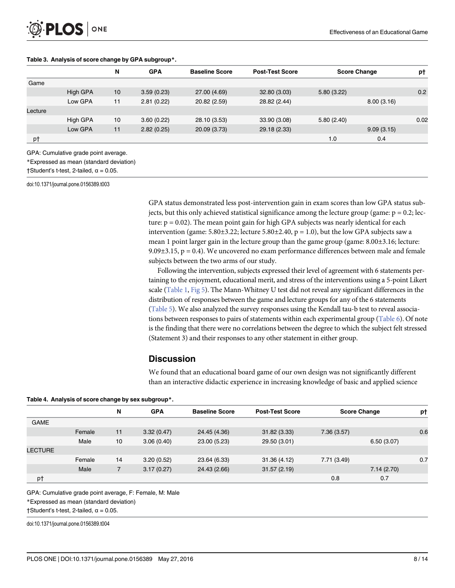|         |                 | N  | <b>GPA</b> | <b>Baseline Score</b> | <b>Post-Test Score</b> | <b>Score Change</b> |            | p†   |
|---------|-----------------|----|------------|-----------------------|------------------------|---------------------|------------|------|
| Game    |                 |    |            |                       |                        |                     |            |      |
|         | <b>High GPA</b> | 10 | 3.59(0.23) | 27.00 (4.69)          | 32.80 (3.03)           | 5.80(3.22)          |            | 0.2  |
|         | Low GPA         | 11 | 2.81(0.22) | 20.82 (2.59)          | 28.82 (2.44)           |                     | 8.00(3.16) |      |
| Lecture |                 |    |            |                       |                        |                     |            |      |
|         | High GPA        | 10 | 3.60(0.22) | 28.10 (3.53)          | 33.90 (3.08)           | 5.80(2.40)          |            | 0.02 |
|         | Low GPA         | 11 | 2.82(0.25) | 20.09 (3.73)          | 29.18 (2.33)           |                     | 9.09(3.15) |      |
| p†      |                 |    |            |                       |                        | 1.0                 | 0.4        |      |

#### <span id="page-7-0"></span>[Table 3.](#page-6-0) Analysis of score change by GPA subgroup\*.

GPA: Cumulative grade point average.

\*Expressed as mean (standard deviation)

†Student's t-test, 2-tailed, α = 0.05.

doi:10.1371/journal.pone.0156389.t003

GPA status demonstrated less post-intervention gain in exam scores than low GPA status subjects, but this only achieved statistical significance among the lecture group (game:  $p = 0.2$ ; lecture:  $p = 0.02$ ). The mean point gain for high GPA subjects was nearly identical for each intervention (game:  $5.80\pm3.22$ ; lecture  $5.80\pm2.40$ ,  $p = 1.0$ ), but the low GPA subjects saw a mean 1 point larger gain in the lecture group than the game group (game: 8.00±3.16; lecture: 9.09 $\pm$ 3.15, p = 0.4). We uncovered no exam performance differences between male and female subjects between the two arms of our study.

Following the intervention, subjects expressed their level of agreement with 6 statements pertaining to the enjoyment, educational merit, and stress of the interventions using a 5-point Likert scale [\(Table 1,](#page-4-0) [Fig 5\)](#page-8-0). The Mann-Whitney U test did not reveal any significant differences in the distribution of responses between the game and lecture groups for any of the 6 statements [\(Table 5\)](#page-9-0). We also analyzed the survey responses using the Kendall tau-b test to reveal associations between responses to pairs of statements within each experimental group  $(Table 6)$  $(Table 6)$  $(Table 6)$ . Of note is the finding that there were no correlations between the degree to which the subject felt stressed (Statement 3) and their responses to any other statement in either group.

#### **Discussion**

We found that an educational board game of our own design was not significantly different than an interactive didactic experience in increasing knowledge of basic and applied science

#### [Table 4.](#page-6-0) Analysis of score change by sex subgroup\*.

|             |        | N  | <b>GPA</b> | <b>Baseline Score</b> | <b>Post-Test Score</b> |             | <b>Score Change</b> | pt  |
|-------------|--------|----|------------|-----------------------|------------------------|-------------|---------------------|-----|
| <b>GAME</b> |        |    |            |                       |                        |             |                     |     |
|             | Female | 11 | 3.32(0.47) | 24.45 (4.36)          | 31.82(3.33)            | 7.36(3.57)  |                     | 0.6 |
|             | Male   | 10 | 3.06(0.40) | 23.00 (5.23)          | 29.50 (3.01)           |             | 6.50(3.07)          |     |
| LECTURE     |        |    |            |                       |                        |             |                     |     |
|             | Female | 14 | 3.20(0.52) | 23.64 (6.33)          | 31.36(4.12)            | 7.71 (3.49) |                     | 0.7 |
|             | Male   |    | 3.17(0.27) | 24.43 (2.66)          | 31.57(2.19)            |             | 7.14(2.70)          |     |
| p†          |        |    |            |                       |                        | 0.8         | 0.7                 |     |

GPA: Cumulative grade point average, F: Female, M: Male

\*Expressed as mean (standard deviation)

†Student's t-test, 2-tailed, α = 0.05.

doi:10.1371/journal.pone.0156389.t004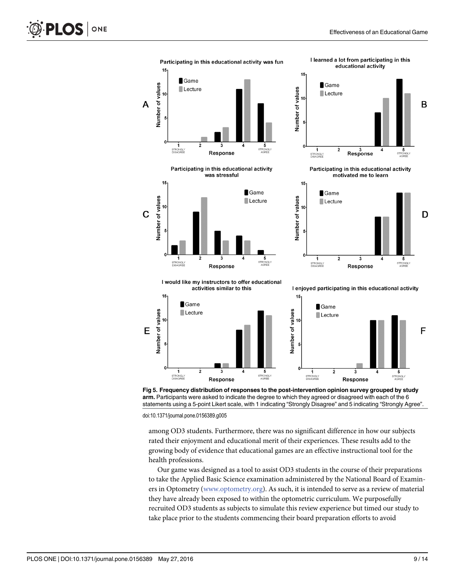B



Participating in this educational activity was stressful



<sup>1</sup><br>STRONGLY<br>DISAGREE  $\overline{2}$ 3<br>Response Participating in this educational activity motivated me to learn 15 Game

I learned a lot from participating in this

educational activity

Game

Lecture



I would like my instructors to offer educational activities similar to this

I enjoyed participating in this educational activity





doi:10.1371/journal.pone.0156389.g005

among OD3 students. Furthermore, there was no significant difference in how our subjects rated their enjoyment and educational merit of their experiences. These results add to the growing body of evidence that educational games are an effective instructional tool for the health professions.

Our game was designed as a tool to assist OD3 students in the course of their preparations to take the Applied Basic Science examination administered by the National Board of Examiners in Optometry ([www.optometry.org\)](http://www.optometry.org/). As such, it is intended to serve as a review of material they have already been exposed to within the optometric curriculum. We purposefully recruited OD3 students as subjects to simulate this review experience but timed our study to take place prior to the students commencing their board preparation efforts to avoid

<span id="page-8-0"></span>.OS I

ONE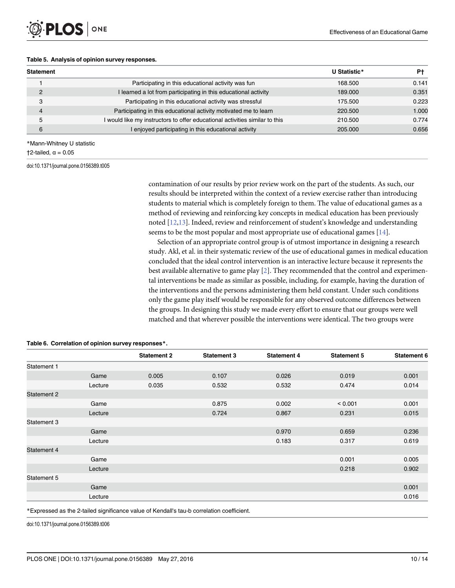<span id="page-9-0"></span>

| <b>Statement</b> |                                                                             | U Statistic* | P†    |
|------------------|-----------------------------------------------------------------------------|--------------|-------|
|                  | Participating in this educational activity was fun                          | 168,500      | 0.141 |
| 2                | I learned a lot from participating in this educational activity             | 189,000      | 0.351 |
| 3                | Participating in this educational activity was stressful                    | 175.500      | 0.223 |
| $\overline{4}$   | Participating in this educational activity motivated me to learn            | 220,500      | 1.000 |
| 5                | I would like my instructors to offer educational activities similar to this | 210,500      | 0.774 |
| 6                | I enjoyed participating in this educational activity                        | 205,000      | 0.656 |

#### \*Mann-Whitney U statistic †2-tailed, α = 0.05

doi:10.1371/journal.pone.0156389.t005

contamination of our results by prior review work on the part of the students. As such, our results should be interpreted within the context of a review exercise rather than introducing students to material which is completely foreign to them. The value of educational games as a method of reviewing and reinforcing key concepts in medical education has been previously noted [\[12,13\]](#page-13-0). Indeed, review and reinforcement of student's knowledge and understanding seems to be the most popular and most appropriate use of educational games [[14](#page-13-0)].

Selection of an appropriate control group is of utmost importance in designing a research study. Akl, et al. in their systematic review of the use of educational games in medical education concluded that the ideal control intervention is an interactive lecture because it represents the best available alternative to game play [[2\]](#page-13-0). They recommended that the control and experimental interventions be made as similar as possible, including, for example, having the duration of the interventions and the persons administering them held constant. Under such conditions only the game play itself would be responsible for any observed outcome differences between the groups. In designing this study we made every effort to ensure that our groups were well matched and that wherever possible the interventions were identical. The two groups were

|             |         | <b>Statement 2</b> | <b>Statement 3</b> | <b>Statement 4</b> | <b>Statement 5</b> | <b>Statement 6</b> |
|-------------|---------|--------------------|--------------------|--------------------|--------------------|--------------------|
| Statement 1 |         |                    |                    |                    |                    |                    |
|             | Game    | 0.005              | 0.107              | 0.026              | 0.019              | 0.001              |
|             | Lecture | 0.035              | 0.532              | 0.532              | 0.474              | 0.014              |
| Statement 2 |         |                    |                    |                    |                    |                    |
|             | Game    |                    | 0.875              | 0.002              | < 0.001            | 0.001              |
|             | Lecture |                    | 0.724              | 0.867              | 0.231              | 0.015              |
| Statement 3 |         |                    |                    |                    |                    |                    |
|             | Game    |                    |                    | 0.970              | 0.659              | 0.236              |
|             | Lecture |                    |                    | 0.183              | 0.317              | 0.619              |
| Statement 4 |         |                    |                    |                    |                    |                    |
|             | Game    |                    |                    |                    | 0.001              | 0.005              |
|             | Lecture |                    |                    |                    | 0.218              | 0.902              |
| Statement 5 |         |                    |                    |                    |                    |                    |
|             | Game    |                    |                    |                    |                    | 0.001              |
|             | Lecture |                    |                    |                    |                    | 0.016              |
|             |         |                    |                    |                    |                    |                    |

#### [Table 6.](#page-7-0) Correlation of opinion survey responses\*.

\*Expressed as the 2-tailed significance value of Kendall's tau-b correlation coefficient.

doi:10.1371/journal.pone.0156389.t006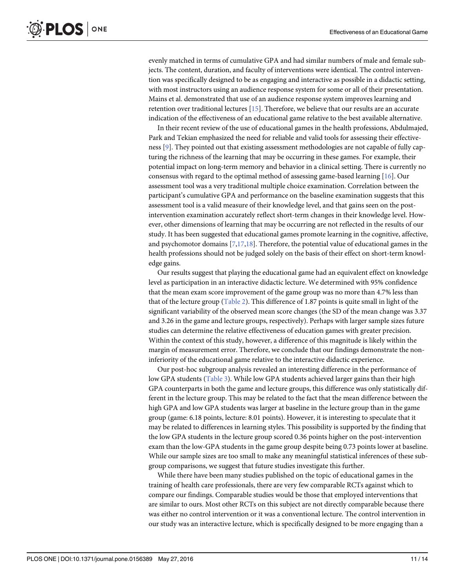<span id="page-10-0"></span>evenly matched in terms of cumulative GPA and had similar numbers of male and female subjects. The content, duration, and faculty of interventions were identical. The control intervention was specifically designed to be as engaging and interactive as possible in a didactic setting, with most instructors using an audience response system for some or all of their presentation. Mains et al. demonstrated that use of an audience response system improves learning and retention over traditional lectures [[15](#page-13-0)]. Therefore, we believe that our results are an accurate indication of the effectiveness of an educational game relative to the best available alternative.

In their recent review of the use of educational games in the health professions, Abdulmajed, Park and Tekian emphasized the need for reliable and valid tools for assessing their effectiveness [[9](#page-13-0)]. They pointed out that existing assessment methodologies are not capable of fully capturing the richness of the learning that may be occurring in these games. For example, their potential impact on long-term memory and behavior in a clinical setting. There is currently no consensus with regard to the optimal method of assessing game-based learning [\[16\]](#page-13-0). Our assessment tool was a very traditional multiple choice examination. Correlation between the participant's cumulative GPA and performance on the baseline examination suggests that this assessment tool is a valid measure of their knowledge level, and that gains seen on the postintervention examination accurately reflect short-term changes in their knowledge level. However, other dimensions of learning that may be occurring are not reflected in the results of our study. It has been suggested that educational games promote learning in the cognitive, affective, and psychomotor domains  $[7,17,18]$ . Therefore, the potential value of educational games in the health professions should not be judged solely on the basis of their effect on short-term knowledge gains.

Our results suggest that playing the educational game had an equivalent effect on knowledge level as participation in an interactive didactic lecture. We determined with 95% confidence that the mean exam score improvement of the game group was no more than 4.7% less than that of the lecture group [\(Table 2](#page-4-0)). This difference of 1.87 points is quite small in light of the significant variability of the observed mean score changes (the SD of the mean change was 3.37 and 3.26 in the game and lecture groups, respectively). Perhaps with larger sample sizes future studies can determine the relative effectiveness of education games with greater precision. Within the context of this study, however, a difference of this magnitude is likely within the margin of measurement error. Therefore, we conclude that our findings demonstrate the noninferiority of the educational game relative to the interactive didactic experience.

Our post-hoc subgroup analysis revealed an interesting difference in the performance of low GPA students [\(Table 3](#page-7-0)). While low GPA students achieved larger gains than their high GPA counterparts in both the game and lecture groups, this difference was only statistically different in the lecture group. This may be related to the fact that the mean difference between the high GPA and low GPA students was larger at baseline in the lecture group than in the game group (game: 6.18 points, lecture: 8.01 points). However, it is interesting to speculate that it may be related to differences in learning styles. This possibility is supported by the finding that the low GPA students in the lecture group scored 0.36 points higher on the post-intervention exam than the low-GPA students in the game group despite being 0.73 points lower at baseline. While our sample sizes are too small to make any meaningful statistical inferences of these subgroup comparisons, we suggest that future studies investigate this further.

While there have been many studies published on the topic of educational games in the training of health care professionals, there are very few comparable RCTs against which to compare our findings. Comparable studies would be those that employed interventions that are similar to ours. Most other RCTs on this subject are not directly comparable because there was either no control intervention or it was a conventional lecture. The control intervention in our study was an interactive lecture, which is specifically designed to be more engaging than a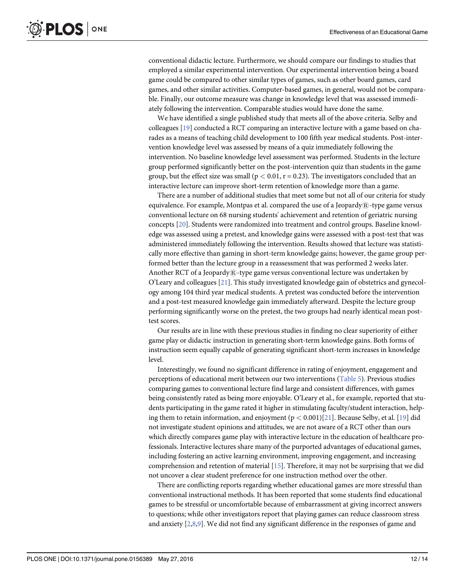<span id="page-11-0"></span>conventional didactic lecture. Furthermore, we should compare our findings to studies that employed a similar experimental intervention. Our experimental intervention being a board game could be compared to other similar types of games, such as other board games, card games, and other similar activities. Computer-based games, in general, would not be comparable. Finally, our outcome measure was change in knowledge level that was assessed immediately following the intervention. Comparable studies would have done the same.

We have identified a single published study that meets all of the above criteria. Selby and colleagues [[19\]](#page-13-0) conducted a RCT comparing an interactive lecture with a game based on charades as a means of teaching child development to 100 fifth year medical students. Post-intervention knowledge level was assessed by means of a quiz immediately following the intervention. No baseline knowledge level assessment was performed. Students in the lecture group performed significantly better on the post-intervention quiz than students in the game group, but the effect size was small ( $p < 0.01$ ,  $r = 0.23$ ). The investigators concluded that an interactive lecture can improve short-term retention of knowledge more than a game.

There are a number of additional studies that meet some but not all of our criteria for study equivalence. For example, Montpas et al. compared the use of a Jeopardy $\mathbb{R}$ -type game versus conventional lecture on 68 nursing students' achievement and retention of geriatric nursing concepts [\[20](#page-13-0)]. Students were randomized into treatment and control groups. Baseline knowledge was assessed using a pretest, and knowledge gains were assessed with a post-test that was administered immediately following the intervention. Results showed that lecture was statistically more effective than gaming in short-term knowledge gains; however, the game group performed better than the lecture group in a reassessment that was performed 2 weeks later. Another RCT of a Jeopardy $@$ -type game versus conventional lecture was undertaken by O'Leary and colleagues [\[21\]](#page-13-0). This study investigated knowledge gain of obstetrics and gynecology among 104 third year medical students. A pretest was conducted before the intervention and a post-test measured knowledge gain immediately afterward. Despite the lecture group performing significantly worse on the pretest, the two groups had nearly identical mean posttest scores.

Our results are in line with these previous studies in finding no clear superiority of either game play or didactic instruction in generating short-term knowledge gains. Both forms of instruction seem equally capable of generating significant short-term increases in knowledge level.

Interestingly, we found no significant difference in rating of enjoyment, engagement and perceptions of educational merit between our two interventions [\(Table 5](#page-9-0)). Previous studies comparing games to conventional lecture find large and consistent differences, with games being consistently rated as being more enjoyable. O'Leary et al., for example, reported that students participating in the game rated it higher in stimulating faculty/student interaction, helping them to retain information, and enjoyment ( $p < 0.001$ )[[21](#page-13-0)]. Because Selby, et al. [\[19](#page-13-0)] did not investigate student opinions and attitudes, we are not aware of a RCT other than ours which directly compares game play with interactive lecture in the education of healthcare professionals. Interactive lectures share many of the purported advantages of educational games, including fostering an active learning environment, improving engagement, and increasing comprehension and retention of material [[15](#page-13-0)]. Therefore, it may not be surprising that we did not uncover a clear student preference for one instruction method over the other.

There are conflicting reports regarding whether educational games are more stressful than conventional instructional methods. It has been reported that some students find educational games to be stressful or uncomfortable because of embarrassment at giving incorrect answers to questions; while other investigators report that playing games can reduce classroom stress and anxiety [[2,8,9](#page-13-0)]. We did not find any significant difference in the responses of game and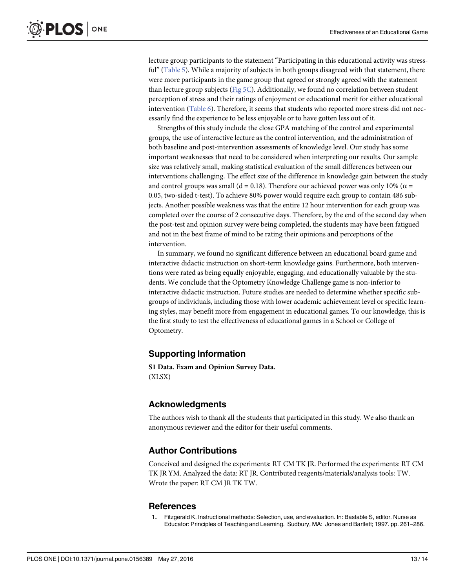<span id="page-12-0"></span>lecture group participants to the statement "Participating in this educational activity was stress-ful" [\(Table 5](#page-9-0)). While a majority of subjects in both groups disagreed with that statement, there were more participants in the game group that agreed or strongly agreed with the statement than lecture group subjects ( $Fig 5C$ ). Additionally, we found no correlation between student perception of stress and their ratings of enjoyment or educational merit for either educational intervention ([Table 6\)](#page-9-0). Therefore, it seems that students who reported more stress did not necessarily find the experience to be less enjoyable or to have gotten less out of it.

Strengths of this study include the close GPA matching of the control and experimental groups, the use of interactive lecture as the control intervention, and the administration of both baseline and post-intervention assessments of knowledge level. Our study has some important weaknesses that need to be considered when interpreting our results. Our sample size was relatively small, making statistical evaluation of the small differences between our interventions challenging. The effect size of the difference in knowledge gain between the study and control groups was small (d = 0.18). Therefore our achieved power was only 10% ( $\alpha$  = 0.05, two-sided t-test). To achieve 80% power would require each group to contain 486 subjects. Another possible weakness was that the entire 12 hour intervention for each group was completed over the course of 2 consecutive days. Therefore, by the end of the second day when the post-test and opinion survey were being completed, the students may have been fatigued and not in the best frame of mind to be rating their opinions and perceptions of the intervention.

In summary, we found no significant difference between an educational board game and interactive didactic instruction on short-term knowledge gains. Furthermore, both interventions were rated as being equally enjoyable, engaging, and educationally valuable by the students. We conclude that the Optometry Knowledge Challenge game is non-inferior to interactive didactic instruction. Future studies are needed to determine whether specific subgroups of individuals, including those with lower academic achievement level or specific learning styles, may benefit more from engagement in educational games. To our knowledge, this is the first study to test the effectiveness of educational games in a School or College of Optometry.

#### Supporting Information

[S1 Data](http://www.plosone.org/article/fetchSingleRepresentation.action?uri=info:doi/10.1371/journal.pone.0156389.s001). Exam and Opinion Survey Data. (XLSX)

#### Acknowledgments

The authors wish to thank all the students that participated in this study. We also thank an anonymous reviewer and the editor for their useful comments.

#### Author Contributions

Conceived and designed the experiments: RT CM TK JR. Performed the experiments: RT CM TK JR YM. Analyzed the data: RT JR. Contributed reagents/materials/analysis tools: TW. Wrote the paper: RT CM JR TK TW.

#### **References**

[1.](#page-1-0) Fitzgerald K. Instructional methods: Selection, use, and evaluation. In: Bastable S, editor. Nurse as Educator: Principles of Teaching and Learning. Sudbury, MA: Jones and Bartlett; 1997. pp. 261–286.